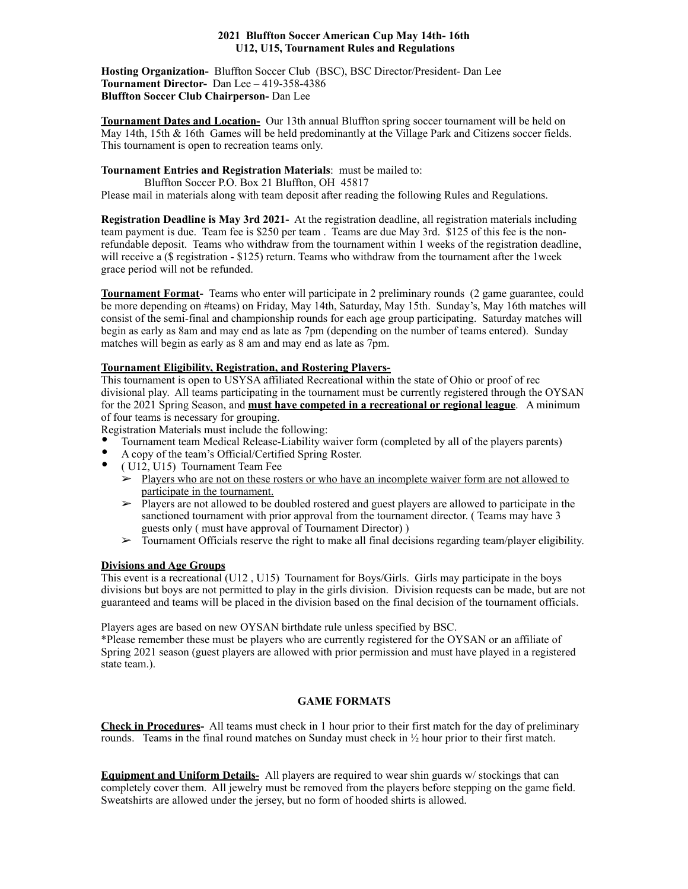### **2021 Bluffton Soccer American Cup May 14th- 16th U12, U15, Tournament Rules and Regulations**

**Hosting Organization-** Bluffton Soccer Club (BSC), BSC Director/President- Dan Lee **Tournament Director-** Dan Lee – 419-358-4386 **Bluffton Soccer Club Chairperson-** Dan Lee

**Tournament Dates and Location-** Our 13th annual Bluffton spring soccer tournament will be held on May 14th, 15th & 16th Games will be held predominantly at the Village Park and Citizens soccer fields. This tournament is open to recreation teams only.

**Tournament Entries and Registration Materials**: must be mailed to:

Bluffton Soccer P.O. Box 21 Bluffton, OH 45817

Please mail in materials along with team deposit after reading the following Rules and Regulations.

**Registration Deadline is May 3rd 2021-** At the registration deadline, all registration materials including team payment is due. Team fee is \$250 per team . Teams are due May 3rd. \$125 of this fee is the nonrefundable deposit. Teams who withdraw from the tournament within 1 weeks of the registration deadline, will receive a (\$ registration - \$125) return. Teams who withdraw from the tournament after the 1week grace period will not be refunded.

**Tournament Format-** Teams who enter will participate in 2 preliminary rounds (2 game guarantee, could be more depending on #teams) on Friday, May 14th, Saturday, May 15th. Sunday's, May 16th matches will consist of the semi-final and championship rounds for each age group participating. Saturday matches will begin as early as 8am and may end as late as 7pm (depending on the number of teams entered). Sunday matches will begin as early as 8 am and may end as late as 7pm.

# **Tournament Eligibility, Registration, and Rostering Players-**

This tournament is open to USYSA affiliated Recreational within the state of Ohio or proof of rec divisional play. All teams participating in the tournament must be currently registered through the OYSAN for the 2021 Spring Season, and **must have competed in a recreational or regional league**. A minimum of four teams is necessary for grouping.

Registration Materials must include the following:

- Tournament team Medical Release-Liability waiver form (completed by all of the players parents)
- A copy of the team's Official/Certified Spring Roster.
- ( U12, U15) Tournament Team Fee
	- $\geq$  Players who are not on these rosters or who have an incomplete waiver form are not allowed to participate in the tournament.
	- ➢ Players are not allowed to be doubled rostered and guest players are allowed to participate in the sanctioned tournament with prior approval from the tournament director. ( Teams may have 3 guests only ( must have approval of Tournament Director) )
	- $\triangleright$  Tournament Officials reserve the right to make all final decisions regarding team/player eligibility.

# **Divisions and Age Groups**

This event is a recreational (U12 , U15) Tournament for Boys/Girls. Girls may participate in the boys divisions but boys are not permitted to play in the girls division. Division requests can be made, but are not guaranteed and teams will be placed in the division based on the final decision of the tournament officials.

Players ages are based on new OYSAN birthdate rule unless specified by BSC.

\*Please remember these must be players who are currently registered for the OYSAN or an affiliate of Spring 2021 season (guest players are allowed with prior permission and must have played in a registered state team.).

# **GAME FORMATS**

**Check in Procedures-** All teams must check in 1 hour prior to their first match for the day of preliminary rounds. Teams in the final round matches on Sunday must check in  $\frac{1}{2}$  hour prior to their first match.

**Equipment and Uniform Details-** All players are required to wear shin guards w/ stockings that can completely cover them. All jewelry must be removed from the players before stepping on the game field. Sweatshirts are allowed under the jersey, but no form of hooded shirts is allowed.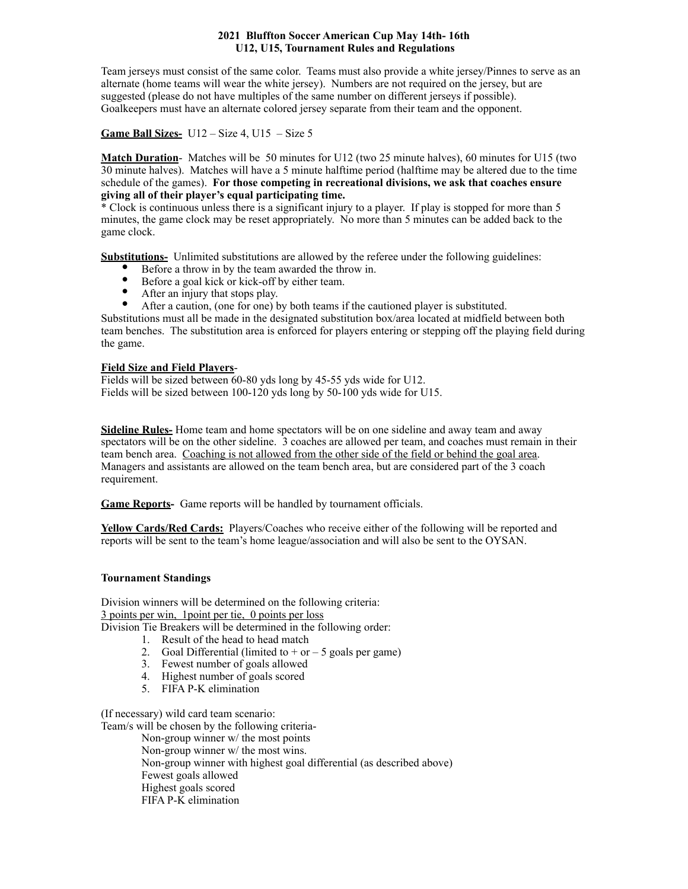### **2021 Bluffton Soccer American Cup May 14th- 16th U12, U15, Tournament Rules and Regulations**

Team jerseys must consist of the same color. Teams must also provide a white jersey/Pinnes to serve as an alternate (home teams will wear the white jersey). Numbers are not required on the jersey, but are suggested (please do not have multiples of the same number on different jerseys if possible). Goalkeepers must have an alternate colored jersey separate from their team and the opponent.

**Game Ball Sizes-** U12 – Size 4, U15 – Size 5

**Match Duration**- Matches will be 50 minutes for U12 (two 25 minute halves), 60 minutes for U15 (two 30 minute halves). Matches will have a 5 minute halftime period (halftime may be altered due to the time schedule of the games). **For those competing in recreational divisions, we ask that coaches ensure giving all of their player's equal participating time.**

\* Clock is continuous unless there is a significant injury to a player. If play is stopped for more than 5 minutes, the game clock may be reset appropriately. No more than 5 minutes can be added back to the game clock.

**Substitutions-** Unlimited substitutions are allowed by the referee under the following guidelines:

- Before a throw in by the team awarded the throw in.
- Before a goal kick or kick-off by either team.
- After an injury that stops play.
- After a caution, (one for one) by both teams if the cautioned player is substituted.

Substitutions must all be made in the designated substitution box/area located at midfield between both team benches. The substitution area is enforced for players entering or stepping off the playing field during the game.

# **Field Size and Field Players**-

Fields will be sized between 60-80 yds long by 45-55 yds wide for U12. Fields will be sized between 100-120 yds long by 50-100 yds wide for U15.

**Sideline Rules-** Home team and home spectators will be on one sideline and away team and away spectators will be on the other sideline. 3 coaches are allowed per team, and coaches must remain in their team bench area. Coaching is not allowed from the other side of the field or behind the goal area. Managers and assistants are allowed on the team bench area, but are considered part of the 3 coach requirement.

**Game Reports-** Game reports will be handled by tournament officials.

**Yellow Cards/Red Cards:** Players/Coaches who receive either of the following will be reported and reports will be sent to the team's home league/association and will also be sent to the OYSAN.

# **Tournament Standings**

Division winners will be determined on the following criteria: 3 points per win, 1point per tie, 0 points per loss Division Tie Breakers will be determined in the following order:

- 1. Result of the head to head match
	- 2. Goal Differential (limited to  $+$  or  $-5$  goals per game)
- 3. Fewest number of goals allowed
- 4. Highest number of goals scored
- 5. FIFA P-K elimination

(If necessary) wild card team scenario:

Team/s will be chosen by the following criteria- Non-group winner w/ the most points Non-group winner w/ the most wins. Non-group winner with highest goal differential (as described above) Fewest goals allowed

Highest goals scored

FIFA P-K elimination